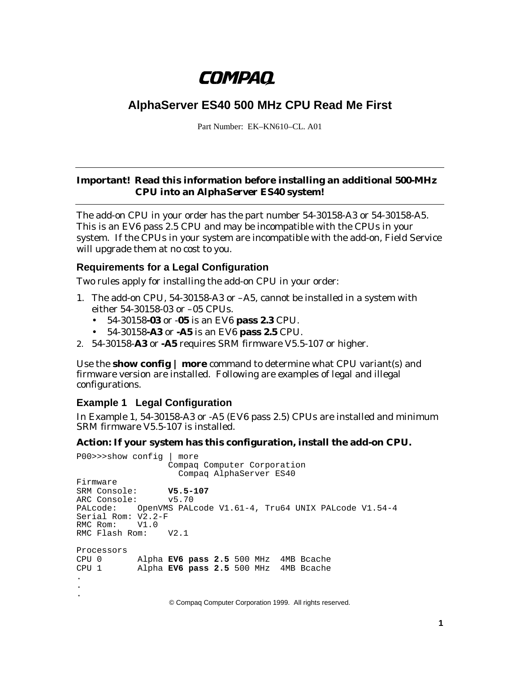# **COMPAQ**

# **AlphaServer ES40 500 MHz CPU Read Me First**

Part Number: EK–KN610–CL. A01

#### **Important! Read this information before installing an additional 500-MHz CPU into an** *AlphaServer* **ES40 system!**

The add-on CPU in your order has the part number 54-30158-A3 or 54-30158-A5. This is an EV6 pass 2.5 CPU and may be incompatible with the CPUs in your system. If the CPUs in your system are incompatible with the add-on, Field Service will upgrade them at no cost to you.

### **Requirements for a Legal Configuration**

Two rules apply for installing the add-on CPU in your order:

- 1. The add-on CPU, 54-30158-A3 or –A5, cannot be installed in a system with either 54-30158-03 or –05 CPUs.
	- 54-30158**-03** or -**05** is an EV6 **pass 2.3** CPU.
	- 54-30158**-A3** or **-A5** is an EV6 **pass 2.5** CPU.
- 2. 54-30158-**A3** or **-A5** requires SRM firmware V5.5-107 or higher.

Use the **show config | more** command to determine what CPU variant(s) and firmware version are installed. Following are examples of legal and illegal configurations.

### **Example 1 Legal Configuration**

In Example 1, 54-30158-A3 or -A5 (EV6 pass 2.5) CPUs are installed and minimum SRM firmware V5.5-107 is installed.

#### **Action: If your system has this configuration, install the add-on CPU.**

```
P00>>>show config | more
                  Compaq Computer Corporation
                     Compaq AlphaServer ES40
Firmware
SRM Console: V5.5-107
ARC Console: v5.70
PALcode: OpenVMS PALcode V1.61-4, Tru64 UNIX PALcode V1.54-4
Serial Rom: V2.2-F
RMC Rom: V1.0<br>RMC Flash Rom: V2.1
RMC Flash Rom:
Processors
CPU 0 Alpha EV6 pass 2.5 500 MHz 4MB Bcache
CPU 1 Alpha EV6 pass 2.5 500 MHz 4MB Bcache
.
.
.
                  © Compaq Computer Corporation 1999. All rights reserved.
```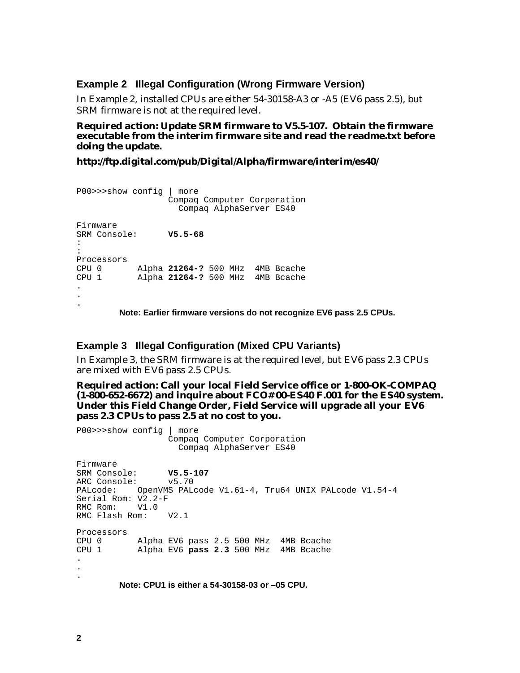#### **Example 2 Illegal Configuration (Wrong Firmware Version)**

In Example 2, installed CPUs are either 54-30158-A3 or -A5 (EV6 pass 2.5), but SRM firmware is not at the required level.

**Required action: Update SRM firmware to V5.5-107. Obtain the firmware executable from the interim firmware site and read the readme.txt before doing the update.**

**http://ftp.digital.com/pub/Digital/Alpha/firmware/interim/es40/**

```
P00>>>show config | more
                 Compaq Computer Corporation
                   Compaq AlphaServer ES40
Firmware
SRM Console: V5.5-68
:
:
Processors
CPU 0 Alpha 21264-? 500 MHz 4MB Bcache
CPU 1 Alpha 21264-? 500 MHz 4MB Bcache .
.
.
```
**Note: Earlier firmware versions do not recognize EV6 pass 2.5 CPUs.**

#### **Example 3 Illegal Configuration (Mixed CPU Variants)**

In Example 3, the SRM firmware is at the required level, but EV6 pass 2.3 CPUs are mixed with EV6 pass 2.5 CPUs.

**Required action: Call your local Field Service office or 1-800-OK-COMPAQ (1-800-652-6672) and inquire about FCO# 00-ES40 F.001 for the ES40 system. Under this Field Change Order, Field Service will upgrade all your EV6 pass 2.3 CPUs to pass 2.5 at no cost to you.**

```
P00>>>show config | more
                  Compaq Computer Corporation
                     Compaq AlphaServer ES40
Firmware
SRM Console: V5.5-107
ARC Console: v5.70
PALcode: OpenVMS PALcode V1.61-4, Tru64 UNIX PALcode V1.54-4
Serial Rom: V2.2-F
RMC Rom: V1.0<br>RMC Flash Rom: V2.1
RMC Flash Rom:
Processors
CPU 0 Alpha EV6 pass 2.5 500 MHz 4MB Bcache
CPU 1 Alpha EV6 pass 2.3 500 MHz 4MB Bcache
.
.
.
        Note: CPU1 is either a 54-30158-03 or –05 CPU.
```